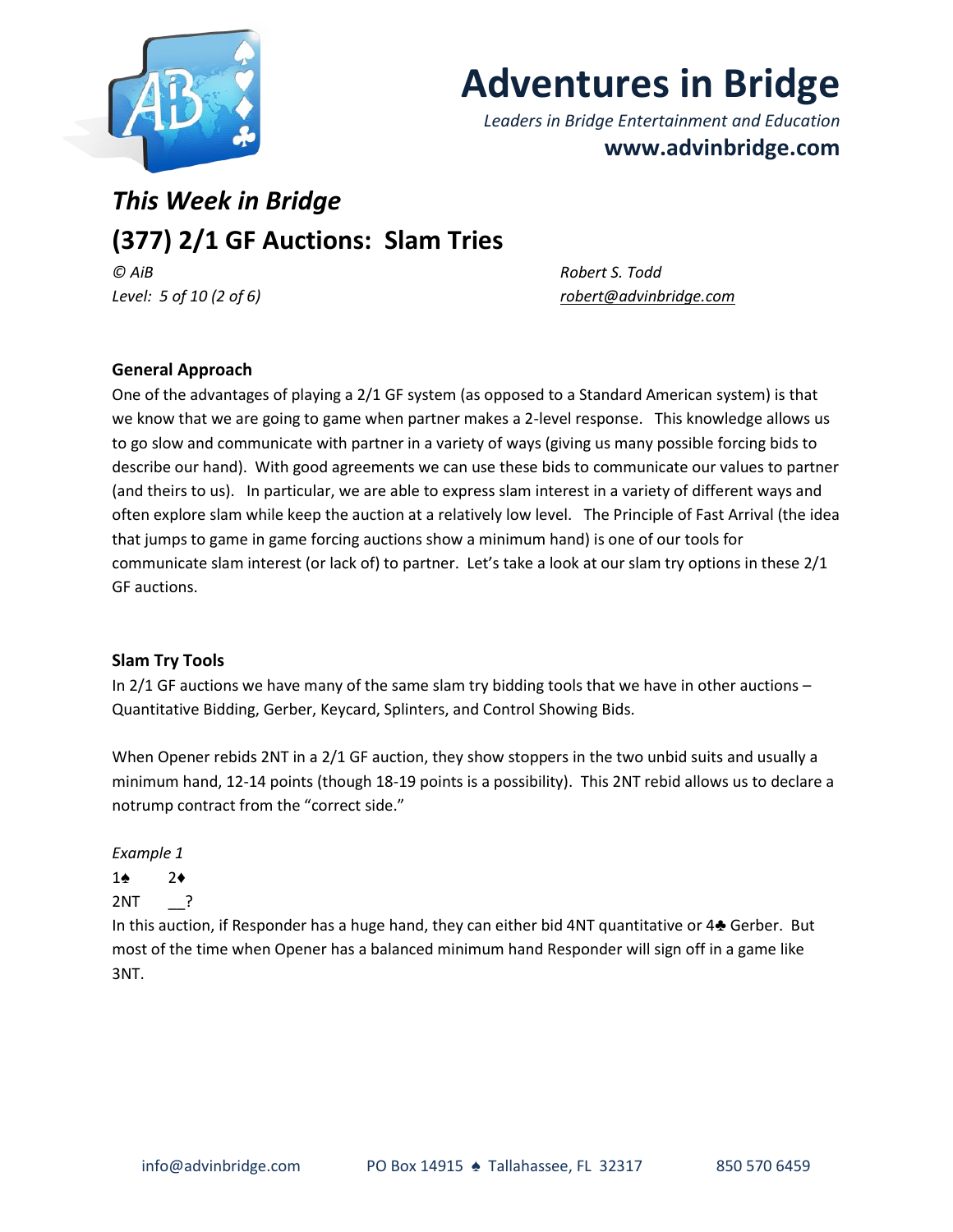

# **Adventures in Bridge**

*Leaders in Bridge Entertainment and Education* **www.advinbridge.com**

# *This Week in Bridge* **(377) 2/1 GF Auctions: Slam Tries**

*© AiB Robert S. Todd Level: 5 of 10 (2 of 6) [robert@advinbridge.com](mailto:robert@advinbridge.com)*

# **General Approach**

One of the advantages of playing a 2/1 GF system (as opposed to a Standard American system) is that we know that we are going to game when partner makes a 2-level response. This knowledge allows us to go slow and communicate with partner in a variety of ways (giving us many possible forcing bids to describe our hand). With good agreements we can use these bids to communicate our values to partner (and theirs to us). In particular, we are able to express slam interest in a variety of different ways and often explore slam while keep the auction at a relatively low level. The Principle of Fast Arrival (the idea that jumps to game in game forcing auctions show a minimum hand) is one of our tools for communicate slam interest (or lack of) to partner. Let's take a look at our slam try options in these 2/1 GF auctions.

#### **Slam Try Tools**

In 2/1 GF auctions we have many of the same slam try bidding tools that we have in other auctions – Quantitative Bidding, Gerber, Keycard, Splinters, and Control Showing Bids.

When Opener rebids 2NT in a 2/1 GF auction, they show stoppers in the two unbid suits and usually a minimum hand, 12-14 points (though 18-19 points is a possibility). This 2NT rebid allows us to declare a notrump contract from the "correct side."

*Example 1*

# 1♠ 2♦

2NT \_\_?

In this auction, if Responder has a huge hand, they can either bid 4NT quantitative or 4♣ Gerber. But most of the time when Opener has a balanced minimum hand Responder will sign off in a game like 3NT.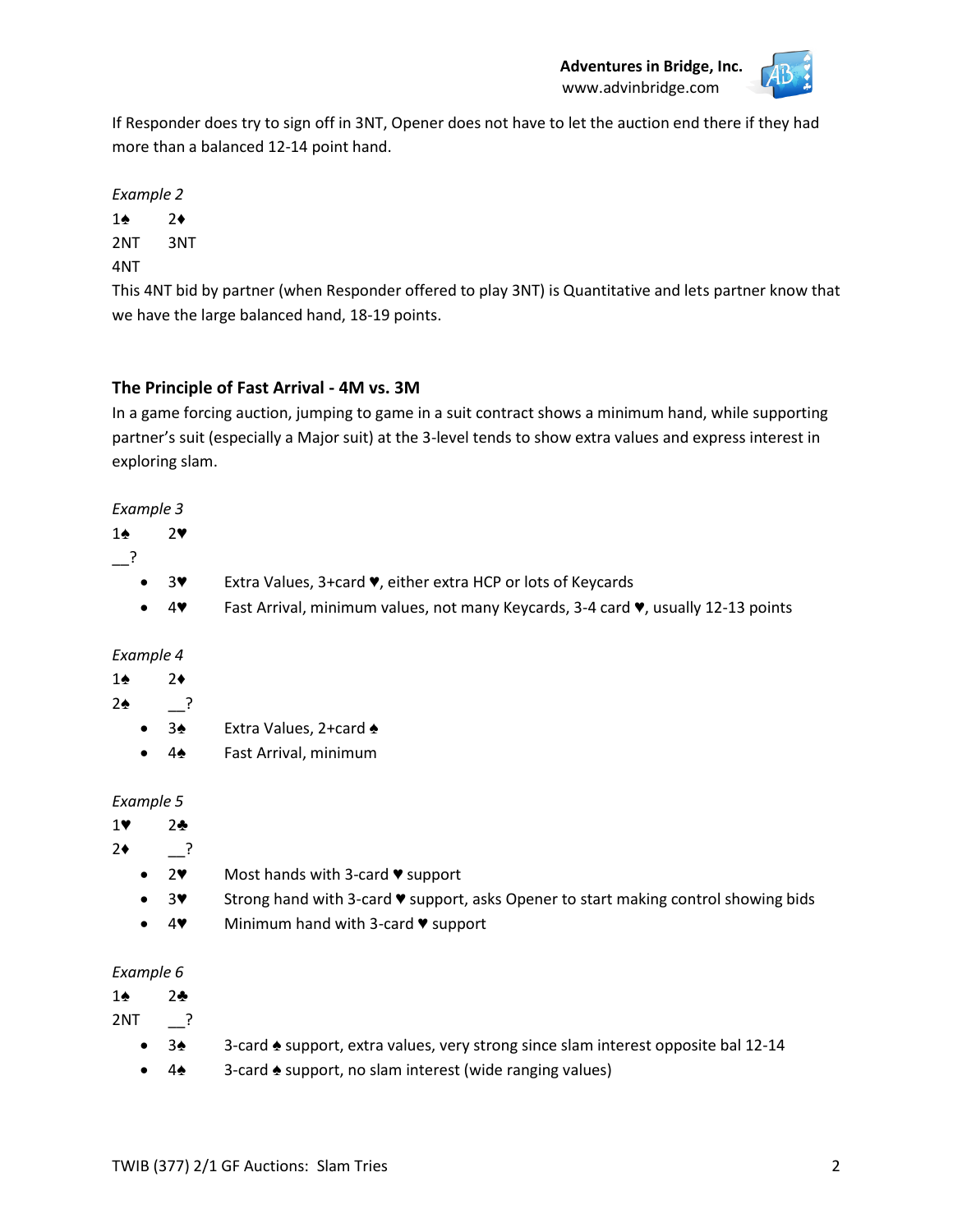

If Responder does try to sign off in 3NT, Opener does not have to let the auction end there if they had more than a balanced 12-14 point hand.

*Example 2*

1♠ 2♦

2NT 3NT

4NT

This 4NT bid by partner (when Responder offered to play 3NT) is Quantitative and lets partner know that we have the large balanced hand, 18-19 points.

# **The Principle of Fast Arrival - 4M vs. 3M**

In a game forcing auction, jumping to game in a suit contract shows a minimum hand, while supporting partner's suit (especially a Major suit) at the 3-level tends to show extra values and express interest in exploring slam.

#### *Example 3*

2♥

\_\_?

- 3♥ Extra Values, 3+card ♥, either extra HCP or lots of Keycards
- 4♥ Fast Arrival, minimum values, not many Keycards, 3-4 card ♥, usually 12-13 points

#### *Example 4*

#### 1♠ 2♦

# $2\spadesuit$   $\frac{?}{?}$

- 3♠ Extra Values, 2+card ♠
- 4♠ Fast Arrival, minimum

#### *Example 5*

# 1♥ 2♣

 $2 \div 2 \div 2$ 

- 2♥ Most hands with 3-card ♥ support
- 3♥ Strong hand with 3-card ♥ support, asks Opener to start making control showing bids
- 4♥ Minimum hand with 3-card ♥ support

#### *Example 6*

1♠ 2♣

2NT \_\_?

- 3♠ 3-card ♠ support, extra values, very strong since slam interest opposite bal 12-14
- 4♠ 3-card ♠ support, no slam interest (wide ranging values)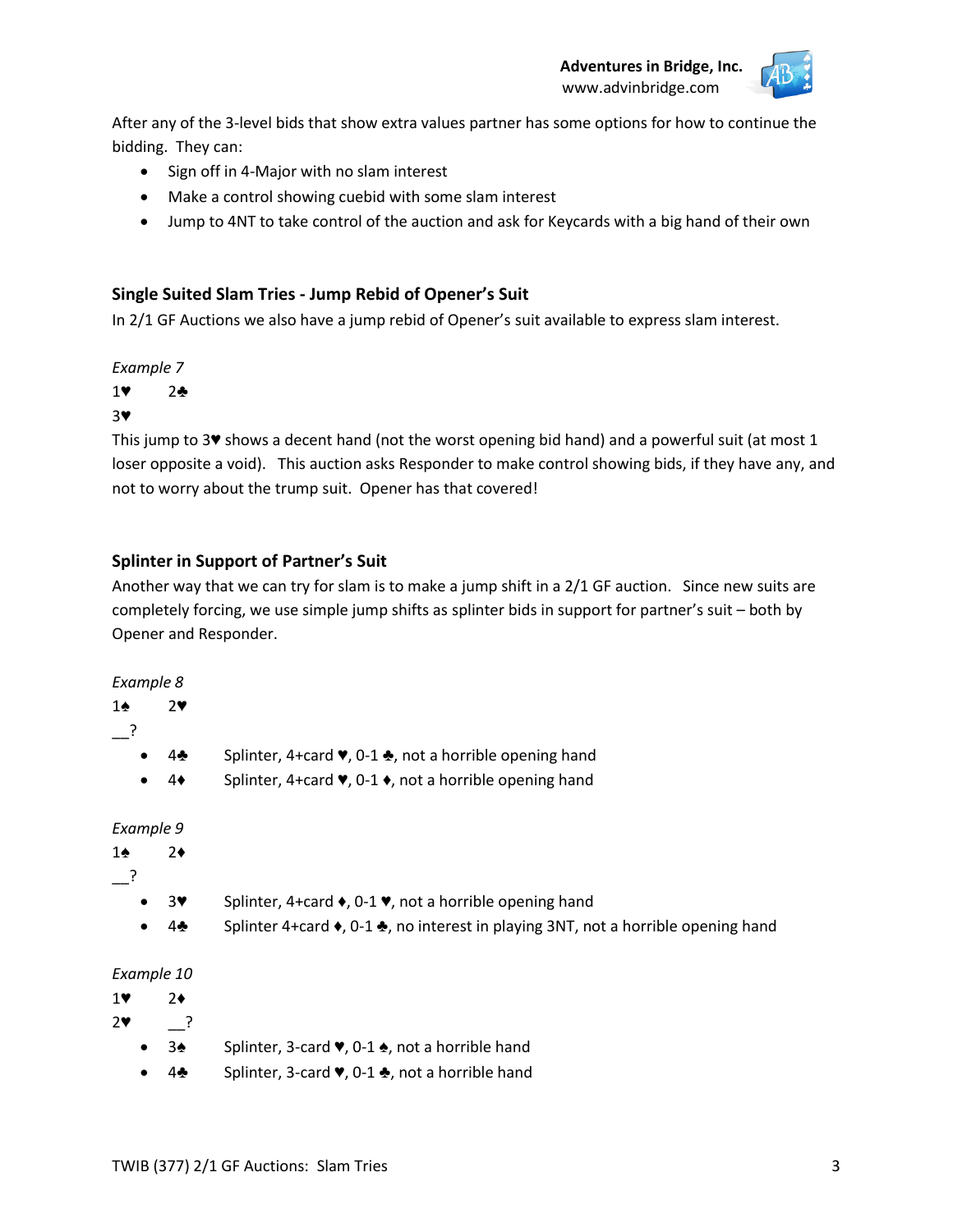**Adventures in Bridge, Inc.** www.advinbridge.com



After any of the 3-level bids that show extra values partner has some options for how to continue the bidding. They can:

- Sign off in 4-Major with no slam interest
- Make a control showing cuebid with some slam interest
- Jump to 4NT to take control of the auction and ask for Keycards with a big hand of their own

#### **Single Suited Slam Tries - Jump Rebid of Opener's Suit**

In 2/1 GF Auctions we also have a jump rebid of Opener's suit available to express slam interest.

#### *Example 7*

1♥ 2♣

#### 3♥

This jump to 3♥ shows a decent hand (not the worst opening bid hand) and a powerful suit (at most 1 loser opposite a void). This auction asks Responder to make control showing bids, if they have any, and not to worry about the trump suit. Opener has that covered!

#### **Splinter in Support of Partner's Suit**

Another way that we can try for slam is to make a jump shift in a 2/1 GF auction. Since new suits are completely forcing, we use simple jump shifts as splinter bids in support for partner's suit – both by Opener and Responder.

#### *Example 8*

- \_\_?
- 4♣ Splinter, 4+card ♥, 0-1 ♣, not a horrible opening hand
- 4♦ Splinter, 4+card ♥, 0-1 ♦, not a horrible opening hand

#### *Example 9*

```
1♠ 2♦
__?
```
- 3♥ Splinter, 4+card ♦, 0-1 ♥, not a horrible opening hand
- 4♣ Splinter 4+card ♦, 0-1 ♣, no interest in playing 3NT, not a horrible opening hand

#### *Example 10*

- 1♥ 2♦
- 2♥ \_\_?
	- 3♠ Splinter, 3-card ♥, 0-1 ♠, not a horrible hand
	- 4♣ Splinter, 3-card ♥, 0-1 ♣, not a horrible hand